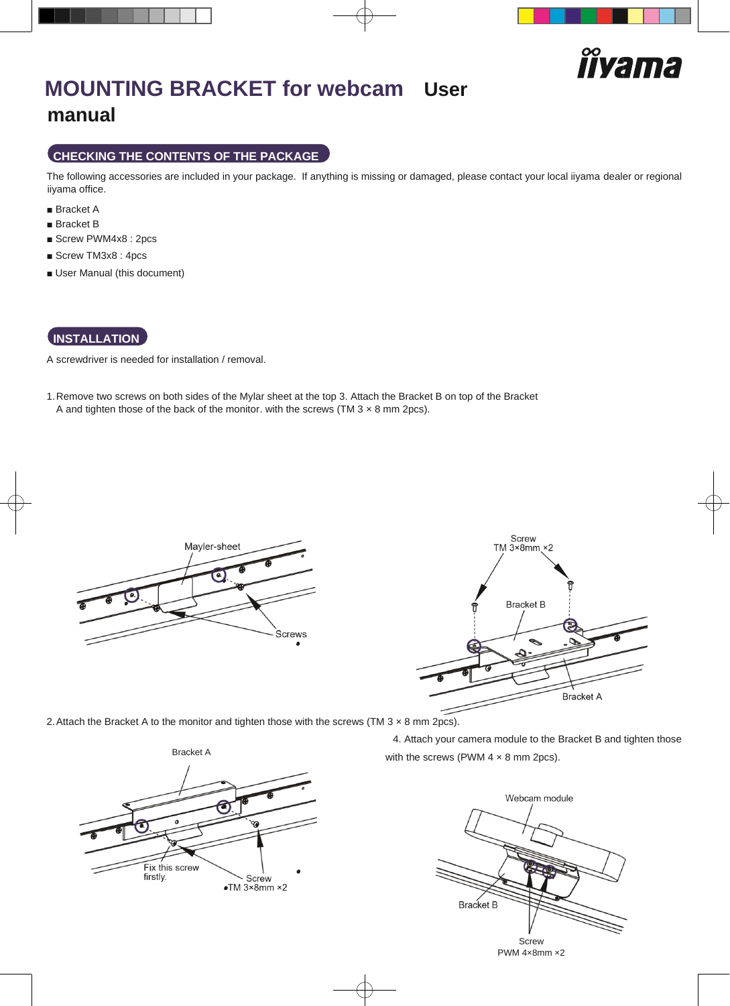

# **MOUNTING BRACKET for webcam User manual**

### **CHECKING THE CONTENTS OF THE PACKAGE**

The following accessories are included in your package. If anything is missing or damaged, please contact your local iiyama dealer or regional iiyama office.

- Bracket A
- Bracket B
- Screw PWM4x8 : 2pcs
- Screw TM3x8 : 4pcs
- User Manual (this document)

### **INSTALLATION**

A screwdriver is needed for installation / removal.

1.Remove two screws on both sides of the Mylar sheet at the top 3. Attach the Bracket B on top of the Bracket A and tighten those of the back of the monitor. with the screws (TM  $3 \times 8$  mm 2pcs).





2. Attach the Bracket A to the monitor and tighten those with the screws (TM  $3 \times 8$  mm 2pcs).



4. Attach your camera module to the Bracket B and tighten those Bracket A with the screws (PWM 4 × 8 mm 2pcs).